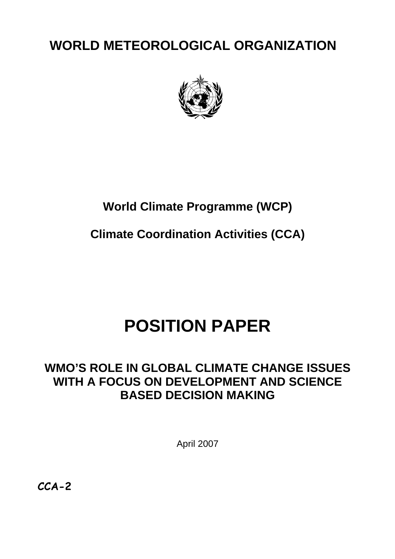**WORLD METEOROLOGICAL ORGANIZATION** 



## **World Climate Programme (WCP)**

**Climate Coordination Activities (CCA)**

# **POSITION PAPER**

## **WMO'S ROLE IN GLOBAL CLIMATE CHANGE ISSUES WITH A FOCUS ON DEVELOPMENT AND SCIENCE BASED DECISION MAKING**

April 2007

**CCA-2**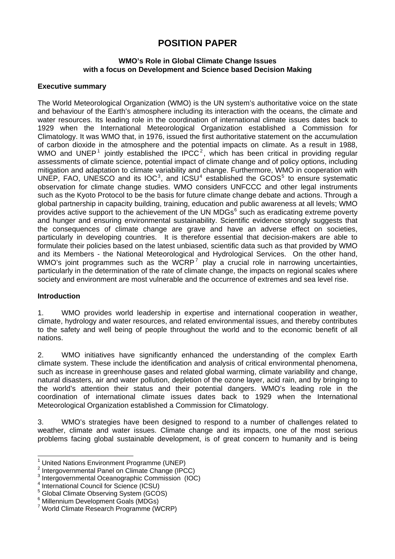### **POSITION PAPER**

#### **WMO's Role in Global Climate Change Issues with a focus on Development and Science based Decision Making**

#### **Executive summary**

The World Meteorological Organization (WMO) is the UN system's authoritative voice on the state and behaviour of the Earth's atmosphere including its interaction with the oceans, the climate and water resources. Its leading role in the coordination of international climate issues dates back to 1929 when the International Meteorological Organization established a Commission for Climatology. It was WMO that, in 1976, issued the first authoritative statement on the accumulation of carbon dioxide in the atmosphere and the potential impacts on climate. As a result in 1988, WMO and UNEP<sup>[1](#page-1-0)</sup> jointly established the IPCC<sup>[2](#page-1-1)</sup>, which has been critical in providing regular assessments of climate science, potential impact of climate change and of policy options, including mitigation and adaptation to climate variability and change. Furthermore, WMO in cooperation with UNEP, FAO, UNESCO and its  $IOC<sup>3</sup>$  $IOC<sup>3</sup>$  $IOC<sup>3</sup>$ , and  $ICSU<sup>4</sup>$  $ICSU<sup>4</sup>$  $ICSU<sup>4</sup>$  established the  $GOS<sup>5</sup>$  $GOS<sup>5</sup>$  $GOS<sup>5</sup>$  to ensure systematic observation for climate change studies. WMO considers UNFCCC and other legal instruments such as the Kyoto Protocol to be the basis for future climate change debate and actions. Through a global partnership in capacity building, training, education and public awareness at all levels; WMO provides active support to the achievement of the UN MDGs<sup>[6](#page-1-5)</sup> such as eradicating extreme poverty and hunger and ensuring environmental sustainability. Scientific evidence strongly suggests that the consequences of climate change are grave and have an adverse effect on societies, particularly in developing countries. It is therefore essential that decision-makers are able to formulate their policies based on the latest unbiased, scientific data such as that provided by WMO and its Members - the National Meteorological and Hydrological Services. On the other hand, WMO's joint programmes such as the WCRP<sup>[7](#page-1-6)</sup> play a crucial role in narrowing uncertainties. particularly in the determination of the rate of climate change, the impacts on regional scales where society and environment are most vulnerable and the occurrence of extremes and sea level rise.

#### **Introduction**

 $\overline{a}$ 

1. WMO provides world leadership in expertise and international cooperation in weather, climate, hydrology and water resources, and related environmental issues, and thereby contributes to the safety and well being of people throughout the world and to the economic benefit of all nations.

2. WMO initiatives have significantly enhanced the understanding of the complex Earth climate system. These include the identification and analysis of critical environmental phenomena, such as increase in greenhouse gases and related global warming, climate variability and change, natural disasters, air and water pollution, depletion of the ozone layer, acid rain, and by bringing to the world's attention their status and their potential dangers. WMO's leading role in the coordination of international climate issues dates back to 1929 when the International Meteorological Organization established a Commission for Climatology.

3. WMO's strategies have been designed to respond to a number of challenges related to weather, climate and water issues. Climate change and its impacts, one of the most serious problems facing global sustainable development, is of great concern to humanity and is being

<span id="page-1-0"></span><sup>1</sup> United Nations Environment Programme (UNEP)

<span id="page-1-1"></span><sup>&</sup>lt;sup>2</sup> Intergovernmental Panel on Climate Change (IPCC)

<span id="page-1-2"></span> $3$  Intergovernmental Oceanographic Commission (IOC)

<span id="page-1-3"></span><sup>4</sup> International Council for Science (ICSU)

<span id="page-1-4"></span><sup>&</sup>lt;sup>5</sup> Global Climate Observing System (GCOS)

<span id="page-1-5"></span><sup>6</sup> Millennium Development Goals (MDGs)

<span id="page-1-6"></span><sup>7</sup> World Climate Research Programme (WCRP)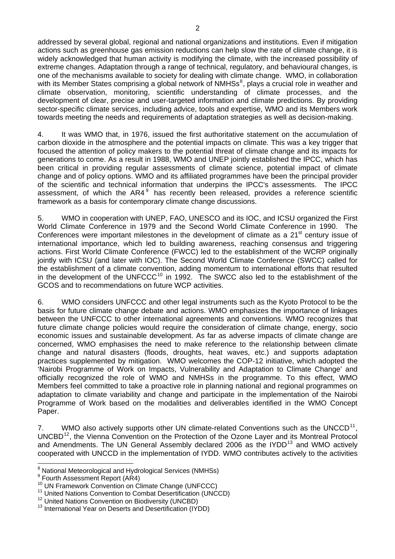addressed by several global, regional and national organizations and institutions. Even if mitigation actions such as greenhouse gas emission reductions can help slow the rate of climate change, it is widely acknowledged that human activity is modifying the climate, with the increased possibility of extreme changes. Adaptation through a range of technical, regulatory, and behavioural changes, is one of the mechanisms available to society for dealing with climate change. WMO, in collaboration with its Member States comprising a global network of NMHSs<sup>[8](#page-2-0)</sup>, plays a crucial role in weather and climate observation, monitoring, scientific understanding of climate processes, and the development of clear, precise and user-targeted information and climate predictions. By providing sector-specific climate services, including advice, tools and expertise, WMO and its Members work towards meeting the needs and requirements of adaptation strategies as well as decision-making.

4. It was WMO that, in 1976, issued the first authoritative statement on the accumulation of carbon dioxide in the atmosphere and the potential impacts on climate. This was a key trigger that focused the attention of policy makers to the potential threat of climate change and its impacts for generations to come. As a result in 1988, WMO and UNEP jointly established the IPCC, which has been critical in providing regular assessments of climate science, potential impact of climate change and of policy options. WMO and its affiliated programmes have been the principal provider of the scientific and technical information that underpins the IPCC's assessments. The IPCC assessment, of which the AR4 $<sup>9</sup>$  $<sup>9</sup>$  $<sup>9</sup>$  has recently been released, provides a reference scientific</sup> framework as a basis for contemporary climate change discussions.

5. WMO in cooperation with UNEP, FAO, UNESCO and its IOC, and ICSU organized the First World Climate Conference in 1979 and the Second World Climate Conference in 1990. The Conferences were important milestones in the development of climate as a  $21<sup>st</sup>$  century issue of international importance, which led to building awareness, reaching consensus and triggering actions. First World Climate Conference (FWCC) led to the establishment of the WCRP originally jointly with ICSU (and later with IOC). The Second World Climate Conference (SWCC) called for the establishment of a climate convention, adding momentum to international efforts that resulted in the development of the UNFCCC $10$  in 1992. The SWCC also led to the establishment of the GCOS and to recommendations on future WCP activities.

6. WMO considers UNFCCC and other legal instruments such as the Kyoto Protocol to be the basis for future climate change debate and actions. WMO emphasizes the importance of linkages between the UNFCCC to other international agreements and conventions. WMO recognizes that future climate change policies would require the consideration of climate change, energy, socio economic issues and sustainable development. As far as adverse impacts of climate change are concerned, WMO emphasises the need to make reference to the relationship between climate change and natural disasters (floods, droughts, heat waves, etc.) and supports adaptation practices supplemented by mitigation. WMO welcomes the COP-12 initiative, which adopted the 'Nairobi Programme of Work on Impacts, Vulnerability and Adaptation to Climate Change' and officially recognized the role of WMO and NMHSs in the programme. To this effect, WMO Members feel committed to take a proactive role in planning national and regional programmes on adaptation to climate variability and change and participate in the implementation of the Nairobi Programme of Work based on the modalities and deliverables identified in the WMO Concept Paper.

7. WMO also actively supports other UN climate-related Conventions such as the UNCCD<sup>[11](#page-2-3)</sup>. UNCBD<sup>[12](#page-2-4)</sup>, the Vienna Convention on the Protection of the Ozone Layer and its Montreal Protocol and Amendments. The UN General Assembly declared 2006 as the  $IYDD<sup>13</sup>$  $IYDD<sup>13</sup>$  $IYDD<sup>13</sup>$  and WMO actively cooperated with UNCCD in the implementation of IYDD. WMO contributes actively to the activities

<span id="page-2-0"></span><sup>&</sup>lt;sup>8</sup> National Meteorological and Hydrological Services (NMHSs)

<span id="page-2-1"></span><sup>&</sup>lt;sup>9</sup> Fourth Assessment Report (AR4)

<span id="page-2-2"></span><sup>&</sup>lt;sup>10</sup> UN Framework Convention on Climate Change (UNFCCC)<br><sup>11</sup> United Nations Convention to Combat Desertification (UNCCD)<br><sup>12</sup> United Nations Convention on Biodiversity (UNCBD)<br><sup>13</sup> International Year on Deserts and Desert

<span id="page-2-4"></span><span id="page-2-3"></span>

<span id="page-2-5"></span>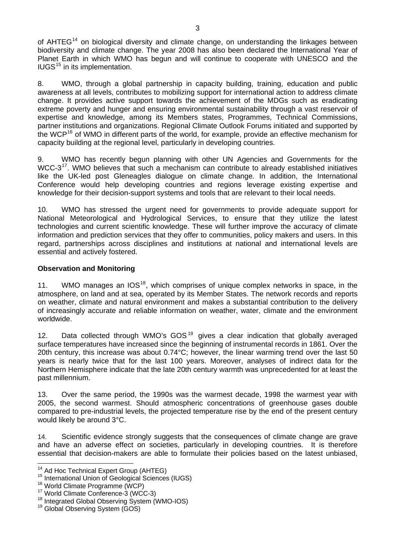of  $AHTEG<sup>14</sup>$  $AHTEG<sup>14</sup>$  $AHTEG<sup>14</sup>$  on biological diversity and climate change, on understanding the linkages between biodiversity and climate change. The year 2008 has also been declared the International Year of Planet Earth in which WMO has begun and will continue to cooperate with UNESCO and the  $IUGS<sup>15</sup>$  $IUGS<sup>15</sup>$  $IUGS<sup>15</sup>$  in its implementation.

8. WMO, through a global partnership in capacity building, training, education and public awareness at all levels, contributes to mobilizing support for international action to address climate change. It provides active support towards the achievement of the MDGs such as eradicating extreme poverty and hunger and ensuring environmental sustainability through a vast reservoir of expertise and knowledge, among its Members states, Programmes, Technical Commissions, partner institutions and organizations. Regional Climate Outlook Forums initiated and supported by the WCP<sup>[16](#page-3-2)</sup> of WMO in different parts of the world, for example, provide an effective mechanism for capacity building at the regional level, particularly in developing countries.

9. WMO has recently begun planning with other UN Agencies and Governments for the WCC-3<sup>[17](#page-3-3)</sup>. WMO believes that such a mechanism can contribute to already established initiatives like the UK-led post Gleneagles dialogue on climate change. In addition, the International Conference would help developing countries and regions leverage existing expertise and knowledge for their decision-support systems and tools that are relevant to their local needs.

10. WMO has stressed the urgent need for governments to provide adequate support for National Meteorological and Hydrological Services, to ensure that they utilize the latest technologies and current scientific knowledge. These will further improve the accuracy of climate information and prediction services that they offer to communities, policy makers and users. In this regard, partnerships across disciplines and institutions at national and international levels are essential and actively fostered.

#### **Observation and Monitoring**

11. WMO manages an IOS<sup>[18](#page-3-4)</sup>, which comprises of unique complex networks in space, in the atmosphere, on land and at sea, operated by its Member States. The network records and reports on weather, climate and natural environment and makes a substantial contribution to the delivery of increasingly accurate and reliable information on weather, water, climate and the environment worldwide.

12. Data collected through WMO's  $GOS<sup>19</sup>$  $GOS<sup>19</sup>$  $GOS<sup>19</sup>$  gives a clear indication that globally averaged surface temperatures have increased since the beginning of instrumental records in 1861. Over the 20th century, this increase was about 0.74°C; however, the linear warming trend over the last 50 years is nearly twice that for the last 100 years. Moreover, analyses of indirect data for the Northern Hemisphere indicate that the late 20th century warmth was unprecedented for at least the past millennium.

13. Over the same period, the 1990s was the warmest decade, 1998 the warmest year with 2005, the second warmest. Should atmospheric concentrations of greenhouse gases double compared to pre-industrial levels, the projected temperature rise by the end of the present century would likely be around 3°C.

14. Scientific evidence strongly suggests that the consequences of climate change are grave and have an adverse effect on societies, particularly in developing countries. It is therefore essential that decision-makers are able to formulate their policies based on the latest unbiased,

<span id="page-3-0"></span><sup>&</sup>lt;sup>14</sup> Ad Hoc Technical Expert Group (AHTEG)

<span id="page-3-1"></span><sup>&</sup>lt;sup>15</sup> International Union of Geological Sciences (IUGS)<br><sup>16</sup> World Climate Programme (WCP)<br><sup>17</sup> World Climate Conference-3 (WCC-3)<br><sup>18</sup> Integrated Global Observing System (WMO-IOS)<br><sup>19</sup> Global Observing System (GOS)

<span id="page-3-2"></span>

<span id="page-3-3"></span>

<span id="page-3-4"></span>

<span id="page-3-5"></span>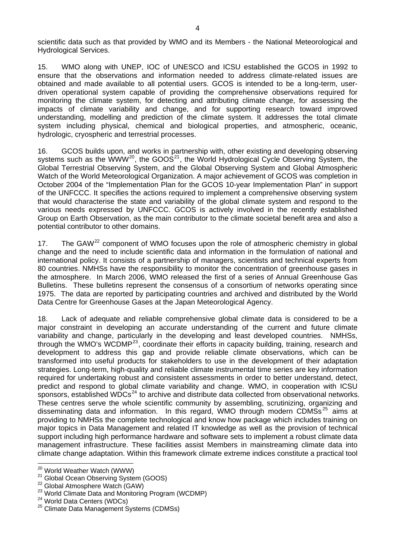scientific data such as that provided by WMO and its Members - the National Meteorological and Hydrological Services.

15. WMO along with UNEP, IOC of UNESCO and ICSU established the GCOS in 1992 to ensure that the observations and information needed to address climate-related issues are obtained and made available to all potential users. GCOS is intended to be a long-term, userdriven operational system capable of providing the comprehensive observations required for monitoring the climate system, for detecting and attributing climate change, for assessing the impacts of climate variability and change, and for supporting research toward improved understanding, modelling and prediction of the climate system. It addresses the total climate system including physical, chemical and biological properties, and atmospheric, oceanic, hydrologic, cryospheric and terrestrial processes.

16. GCOS builds upon, and works in partnership with, other existing and developing observing systems such as the WWW<sup>[20](#page-4-0)</sup>, the GOOS<sup>[21](#page-4-1)</sup>, the World Hydrological Cycle Observing System, the Global Terrestrial Observing System, and the Global Observing System and Global Atmospheric Watch of the World Meteorological Organization. A major achievement of GCOS was completion in October 2004 of the "Implementation Plan for the GCOS 10-year Implementation Plan" in support of the UNFCCC. It specifies the actions required to implement a comprehensive observing system that would characterise the state and variability of the global climate system and respond to the various needs expressed by UNFCCC. GCOS is actively involved in the recently established Group on Earth Observation, as the main contributor to the climate societal benefit area and also a potential contributor to other domains.

17. The GAW<sup>[22](#page-4-2)</sup> component of WMO focuses upon the role of atmospheric chemistry in global change and the need to include scientific data and information in the formulation of national and international policy. It consists of a partnership of managers, scientists and technical experts from 80 countries. NMHSs have the responsibility to monitor the concentration of greenhouse gases in the atmosphere. In March 2006, WMO released the first of a series of Annual Greenhouse Gas Bulletins. These bulletins represent the consensus of a consortium of networks operating since 1975. The data are reported by participating countries and archived and distributed by the World Data Centre for Greenhouse Gases at the Japan Meteorological Agency.

18. Lack of adequate and reliable comprehensive global climate data is considered to be a major constraint in developing an accurate understanding of the current and future climate variability and change, particularly in the developing and least developed countries. NMHSs, through the WMO's WCDMP<sup>[23](#page-4-3)</sup>, coordinate their efforts in capacity building, training, research and development to address this gap and provide reliable climate observations, which can be transformed into useful products for stakeholders to use in the development of their adaptation strategies. Long-term, high-quality and reliable climate instrumental time series are key information required for undertaking robust and consistent assessments in order to better understand, detect, predict and respond to global climate variability and change. WMO, in cooperation with ICSU sponsors, established WDCs<sup>[24](#page-4-4)</sup> to archive and distribute data collected from observational networks. These centres serve the whole scientific community by assembling, scrutinizing, organizing and disseminating data and information. In this regard, WMO through modern CDMSs<sup>[25](#page-4-5)</sup> aims at providing to NMHSs the complete technological and know how package which includes training on major topics in Data Management and related IT knowledge as well as the provision of technical support including high performance hardware and software sets to implement a robust climate data management infrastructure. These facilities assist Members in mainstreaming climate data into climate change adaptation. Within this framework climate extreme indices constitute a practical tool

<span id="page-4-0"></span><sup>&</sup>lt;sup>20</sup> World Weather Watch (WWW)

<span id="page-4-3"></span>

<span id="page-4-2"></span><span id="page-4-1"></span><sup>&</sup>lt;sup>21</sup> Global Ocean Observing System (GOOS)<br><sup>22</sup> Global Atmosphere Watch (GAW)<br><sup>23</sup> World Climate Data and Monitoring Program (WCDMP)<br><sup>24</sup> World Data Centers (WDCs)<br><sup>25</sup> Climate Data Management Systems (CDMSs)

<span id="page-4-4"></span>

<span id="page-4-5"></span>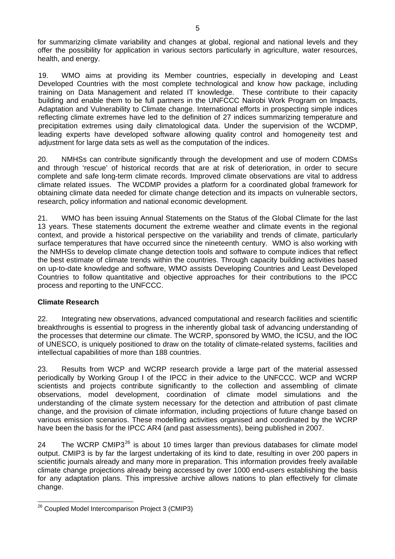for summarizing climate variability and changes at global, regional and national levels and they offer the possibility for application in various sectors particularly in agriculture, water resources, health, and energy.

19. WMO aims at providing its Member countries, especially in developing and Least Developed Countries with the most complete technological and know how package, including training on Data Management and related IT knowledge. These contribute to their capacity building and enable them to be full partners in the UNFCCC Nairobi Work Program on Impacts, Adaptation and Vulnerability to Climate change. International efforts in prospecting simple indices reflecting climate extremes have led to the definition of 27 indices summarizing temperature and precipitation extremes using daily climatological data. Under the supervision of the WCDMP, leading experts have developed software allowing quality control and homogeneity test and adjustment for large data sets as well as the computation of the indices.

20. NMHSs can contribute significantly through the development and use of modern CDMSs and through 'rescue' of historical records that are at risk of deterioration, in order to secure complete and safe long-term climate records. Improved climate observations are vital to address climate related issues. The WCDMP provides a platform for a coordinated global framework for obtaining climate data needed for climate change detection and its impacts on vulnerable sectors, research, policy information and national economic development.

21. WMO has been issuing Annual Statements on the Status of the Global Climate for the last 13 years. These statements document the extreme weather and climate events in the regional context, and provide a historical perspective on the variability and trends of climate, particularly surface temperatures that have occurred since the nineteenth century. WMO is also working with the NMHSs to develop climate change detection tools and software to compute indices that reflect the best estimate of climate trends within the countries. Through capacity building activities based on up-to-date knowledge and software, WMO assists Developing Countries and Least Developed Countries to follow quantitative and objective approaches for their contributions to the IPCC process and reporting to the UNFCCC.

#### **Climate Research**

22. Integrating new observations, advanced computational and research facilities and scientific breakthroughs is essential to progress in the inherently global task of advancing understanding of the processes that determine our climate. The WCRP, sponsored by WMO, the [ICSU,](http://www.icsu.org/index.php) and the [IOC](http://ioc.unesco.org/iocweb/index.php) of UNESCO, is uniquely positioned to draw on the totality of climate-related systems, facilities and intellectual capabilities of more than 188 countries.

23. Results from WCP and WCRP research provide a large part of the material assessed periodically by Working Group I of the IPCC in their advice to the UNFCCC. WCP and WCRP scientists and projects contribute significantly to the collection and assembling of climate observations, model development, coordination of climate model simulations and the understanding of the climate system necessary for the detection and attribution of past climate change, and the provision of climate information, including projections of future change based on various emission scenarios. These modelling activities organised and coordinated by the WCRP have been the basis for the IPCC AR4 (and past assessments), being published in 2007.

24 The WCRP CMIP3 $^{26}$  $^{26}$  $^{26}$  is about 10 times larger than previous databases for climate model output. CMIP3 is by far the largest undertaking of its kind to date, resulting in over 200 papers in scientific journals already and many more in preparation. This information provides freely available climate change projections already being accessed by over 1000 end-users establishing the basis for any adaptation plans. This impressive archive allows nations to plan effectively for climate change.

<span id="page-5-0"></span> $\overline{a}$ <sup>26</sup> Coupled Model Intercomparison Project 3 (CMIP3)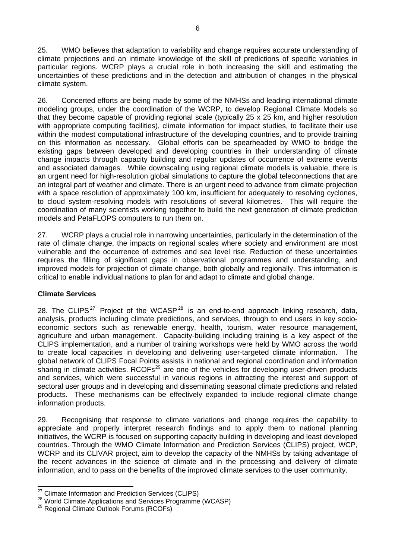25. WMO believes that adaptation to variability and change requires accurate understanding of climate projections and an intimate knowledge of the skill of predictions of specific variables in particular regions. WCRP plays a crucial role in both increasing the skill and estimating the uncertainties of these predictions and in the detection and attribution of changes in the physical climate system.

26. Concerted efforts are being made by some of the NMHSs and leading international climate modeling groups, under the coordination of the WCRP, to develop Regional Climate Models so that they become capable of providing regional scale (typically 25 x 25 km, and higher resolution with appropriate computing facilities), climate information for impact studies, to facilitate their use within the modest computational infrastructure of the developing countries, and to provide training on this information as necessary. Global efforts can be spearheaded by WMO to bridge the existing gaps between developed and developing countries in their understanding of climate change impacts through capacity building and regular updates of occurrence of extreme events and associated damages. While downscaling using regional climate models is valuable, there is an urgent need for high-resolution global simulations to capture the global teleconnections that are an integral part of weather and climate. There is an urgent need to advance from climate projection with a space resolution of approximately 100 km, insufficient for adequately to resolving cyclones, to cloud system-resolving models with resolutions of several kilometres. This will require the coordination of many scientists working together to build the next generation of climate prediction models and PetaFLOPS computers to run them on.

27. WCRP plays a crucial role in narrowing uncertainties, particularly in the determination of the rate of climate change, the impacts on regional scales where society and environment are most vulnerable and the occurrence of extremes and sea level rise. Reduction of these uncertainties requires the filling of significant gaps in observational programmes and understanding, and improved models for projection of climate change, both globally and regionally. This information is critical to enable individual nations to plan for and adapt to climate and global change.

#### **Climate Services**

28. The CLIPS<sup>[27](#page-6-0)</sup> Project of the WCASP<sup>[28](#page-6-1)</sup> is an end-to-end approach linking research, data, analysis, products including climate predictions, and services, through to end users in key socioeconomic sectors such as renewable energy, health, tourism, water resource management, agriculture and urban management. Capacity-building including training is a key aspect of the CLIPS implementation, and a number of training workshops were held by WMO across the world to create local capacities in developing and delivering user-targeted climate information. The global network of CLIPS Focal Points assists in national and regional coordination and information sharing in climate activities. RCOFs<sup>[29](#page-6-2)</sup> are one of the vehicles for developing user-driven products and services, which were successful in various regions in attracting the interest and support of sectoral user groups and in developing and disseminating seasonal climate predictions and related products. These mechanisms can be effectively expanded to include regional climate change information products.

29. Recognising that response to climate variations and change requires the capability to appreciate and properly interpret research findings and to apply them to national planning initiatives, the WCRP is focused on supporting capacity building in developing and least developed countries. Through the WMO Climate Information and Prediction Services (CLIPS) project, WCP, WCRP and its CLIVAR project, aim to develop the capacity of the NMHSs by taking advantage of the recent advances in the science of climate and in the processing and delivery of climate information, and to pass on the benefits of the improved climate services to the user community.

<span id="page-6-0"></span><sup>&</sup>lt;sup>27</sup> Climate Information and Prediction Services (CLIPS)

<span id="page-6-1"></span><sup>&</sup>lt;sup>28</sup> World Climate Applications and Services Programme (WCASP) <sup>29</sup> Regional Climate Outlook Forums (RCOFs)

<span id="page-6-2"></span>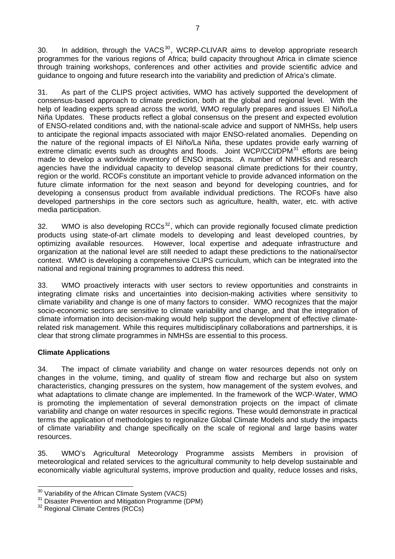[30](#page-7-0). In addition, through the VACS<sup>30</sup>, WCRP-CLIVAR aims to develop appropriate research programmes for the various regions of Africa; build capacity throughout Africa in climate science through training workshops, conferences and other activities and provide scientific advice and guidance to ongoing and future research into the variability and prediction of Africa's climate.

31. As part of the CLIPS project activities, WMO has actively supported the development of consensus-based approach to climate prediction, both at the global and regional level. With the help of leading experts spread across the world, WMO regularly prepares and issues El Niño/La Niña Updates. These products reflect a global consensus on the present and expected evolution of ENSO-related conditions and, with the national-scale advice and support of NMHSs, help users to anticipate the regional impacts associated with major ENSO-related anomalies. Depending on the nature of the regional impacts of El Niño/La Niña, these updates provide early warning of extreme climatic events such as droughts and floods. Joint WCP/CCI/DPM<sup>[31](#page-7-1)</sup> efforts are being made to develop a worldwide inventory of ENSO impacts. A number of NMHSs and research agencies have the individual capacity to develop seasonal climate predictions for their country, region or the world. RCOFs constitute an important vehicle to provide advanced information on the future climate information for the next season and beyond for developing countries, and for developing a consensus product from available individual predictions. The RCOFs have also developed partnerships in the core sectors such as agriculture, health, water, etc. with active media participation.

[32](#page-7-2). WMO is also developing  $RCCs^{32}$ , which can provide regionally focused climate prediction products using state-of-art climate models to developing and least developed countries, by However, local expertise and adequate infrastructure and organization at the national level are still needed to adapt these predictions to the national/sector context. WMO is developing a comprehensive CLIPS curriculum, which can be integrated into the national and regional training programmes to address this need.

33. WMO proactively interacts with user sectors to review opportunities and constraints in integrating climate risks and uncertainties into decision-making activities where sensitivity to climate variability and change is one of many factors to consider. WMO recognizes that the major socio-economic sectors are sensitive to climate variability and change, and that the integration of climate information into decision-making would help support the development of effective climaterelated risk management. While this requires multidisciplinary collaborations and partnerships, it is clear that strong climate programmes in NMHSs are essential to this process.

#### **Climate Applications**

34. The impact of climate variability and change on water resources depends not only on changes in the volume, timing, and quality of stream flow and recharge but also on system characteristics, changing pressures on the system, how management of the system evolves, and what adaptations to climate change are implemented. In the framework of the WCP-Water, WMO is promoting the implementation of several demonstration projects on the impact of climate variability and change on water resources in specific regions. These would demonstrate in practical terms the application of methodologies to regionalize Global Climate Models and study the impacts of climate variability and change specifically on the scale of regional and large basins water resources.

35. WMO's Agricultural Meteorology Programme assists Members in provision of meteorological and related services to the agricultural community to help develop sustainable and economically viable agricultural systems, improve production and quality, reduce losses and risks,

<span id="page-7-1"></span><span id="page-7-0"></span> $30 \over 31$  Disaster Prevention and Mitigation Programme (DPM)  $32 \over 32$  Regional Climate Centres (RCCs)

<span id="page-7-2"></span>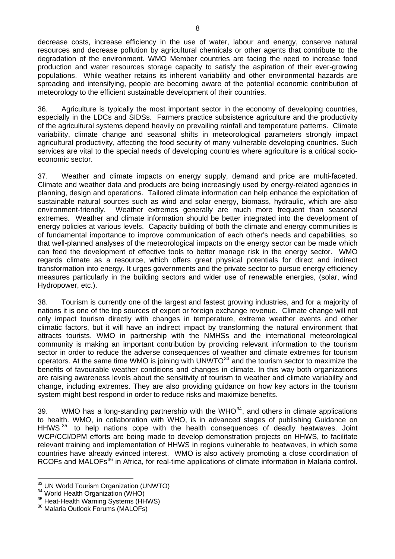decrease costs, increase efficiency in the use of water, labour and energy, conserve natural resources and decrease pollution by agricultural chemicals or other agents that contribute to the degradation of the environment. WMO Member countries are facing the need to increase food production and water resources storage capacity to satisfy the aspiration of their ever-growing populations. While weather retains its inherent variability and other environmental hazards are spreading and intensifying, people are becoming aware of the potential economic contribution of meteorology to the efficient sustainable development of their countries.

36. Agriculture is typically the most important sector in the economy of developing countries, especially in the LDCs and SIDSs. Farmers practice subsistence agriculture and the productivity of the agricultural systems depend heavily on prevailing rainfall and temperature patterns. Climate variability, climate change and seasonal shifts in meteorological parameters strongly impact agricultural productivity, affecting the food security of many vulnerable developing countries. Such services are vital to the special needs of developing countries where agriculture is a critical socioeconomic sector.

37. Weather and climate impacts on energy supply, demand and price are multi-faceted. Climate and weather data and products are being increasingly used by energy-related agencies in planning, design and operations. Tailored climate information can help enhance the exploitation of sustainable natural sources such as wind and solar energy, biomass, hydraulic, which are also environment-friendly. Weather extremes generally are much more frequent than seasonal extremes. Weather and climate information should be better integrated into the development of energy policies at various levels. Capacity building of both the climate and energy communities is of fundamental importance to improve communication of each other's needs and capabilities, so that well-planned analyses of the meteorological impacts on the energy sector can be made which can feed the development of effective tools to better manage risk in the energy sector. WMO regards climate as a resource, which offers great physical potentials for direct and indirect transformation into energy. It urges governments and the private sector to pursue energy efficiency measures particularly in the building sectors and wider use of renewable energies, (solar, wind Hydropower, etc.).

38. Tourism is currently one of the largest and fastest growing industries, and for a majority of nations it is one of the top sources of export or foreign exchange revenue. Climate change will not only impact tourism directly with changes in temperature, extreme weather events and other climatic factors, but it will have an indirect impact by transforming the natural environment that attracts tourists. WMO in partnership with the NMHSs and the international meteorological community is making an important contribution by providing relevant information to the tourism sector in order to reduce the adverse consequences of weather and climate extremes for tourism operators. At the same time WMO is joining with UNWTO $33$  and the tourism sector to maximize the benefits of favourable weather conditions and changes in climate. In this way both organizations are raising awareness levels about the sensitivity of tourism to weather and climate variability and change, including extremes. They are also providing guidance on how key actors in the tourism system might best respond in order to reduce risks and maximize benefits.

39. WMO has a long-standing partnership with the WHO $34$ , and others in climate applications to health. WMO, in collaboration with WHO, is in advanced stages of publishing Guidance on HHWS<sup>[35](#page-8-2)</sup> to help nations cope with the health consequences of deadly heatwaves. Joint WCP/CCl/DPM efforts are being made to develop demonstration projects on HHWS, to facilitate relevant training and implementation of HHWS in regions vulnerable to heatwaves, in which some countries have already evinced interest. WMO is also actively promoting a close coordination of RCOFs and MALOFs<sup>[36](#page-8-3)</sup> in Africa, for real-time applications of climate information in Malaria control.

 $\overline{a}$ 

<span id="page-8-0"></span><sup>&</sup>lt;sup>33</sup> UN World Tourism Organization (UNWTO)<br><sup>34</sup> World Health Organization (WHO)<br><sup>35</sup> Heat-Health Warning Systems (HHWS)<br><sup>36</sup> Malaria Outlook Forums (MALOFs)

<span id="page-8-1"></span>

<span id="page-8-2"></span>

<span id="page-8-3"></span>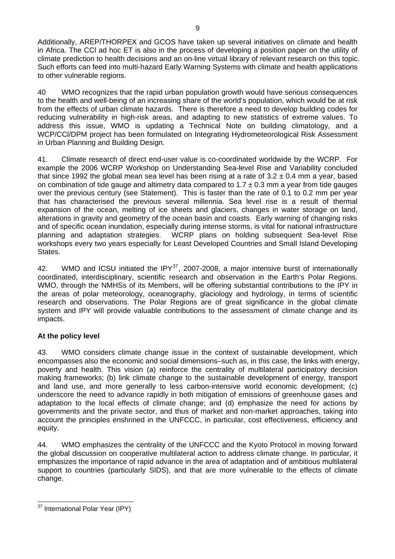Additionally, AREP/THORPEX and GCOS have taken up several initiatives on climate and health in Africa. The CCl ad hoc ET is also in the process of developing a position paper on the utility of climate prediction to health decisions and an on-line virtual library of relevant research on this topic. Such efforts can feed into multi-hazard Early Warning Systems with climate and health applications to other vulnerable regions.

40 WMO recognizes that the rapid urban population growth would have serious consequences to the health and well-being of an increasing share of the world's population, which would be at risk from the effects of urban climate hazards. There is therefore a need to develop building codes for reducing vulnerability in high-risk areas, and adapting to new statistics of extreme values. To address this issue, WMO is updating a Technical Note on building climatology, and a WCP/CCl/DPM project has been formulated on Integrating Hydrometeorological Risk Assessment in Urban Planning and Building Design.

41. Climate research of direct end-user value is co-coordinated worldwide by the WCRP. For example the 2006 WCRP Workshop on Understanding Sea-level Rise and Variability concluded that since 1992 the global mean sea level has been rising at a rate of  $3.2 \pm 0.4$  mm a year, based on combination of tide gauge and altimetry data compared to  $1.7 \pm 0.3$  mm a year from tide gauges over the previous century (see Statement). This is faster than the rate of 0.1 to 0.2 mm per year that has characterised the previous several millennia. Sea level rise is a result of thermal expansion of the ocean, melting of ice sheets and glaciers, changes in water storage on land, alterations in gravity and geometry of the ocean basin and coasts. Early warning of changing risks and of specific ocean inundation, especially during intense storms, is vital for national infrastructure planning and adaptation strategies. WCRP plans on holding subsequent Sea-level Rise workshops every two years especially for Least Developed Countries and Small Island Developing States.

42. WMO and ICSU initiated the IPY<sup>[37](#page-9-0)</sup>, 2007-2008, a major intensive burst of internationally coordinated, interdisciplinary, scientific research and observation in the Earth's Polar Regions. WMO, through the NMHSs of its Members, will be offering substantial contributions to the IPY in the areas of polar meteorology, oceanography, glaciology and hydrology, in terms of scientific research and observations. The Polar Regions are of great significance in the global climate system and IPY will provide valuable contributions to the assessment of climate change and its impacts.

#### **At the policy level**

43. WMO considers climate change issue in the context of sustainable development, which encompasses also the economic and social dimensions–such as, in this case, the links with energy, poverty and health. This vision (a) reinforce the centrality of multilateral participatory decision making frameworks; (b) link climate change to the sustainable development of energy, transport and land use, and more generally to less carbon-intensive world economic development; (c) underscore the need to advance rapidly in both mitigation of emissions of greenhouse gases and adaptation to the local effects of climate change; and (d) emphasize the need for actions by governments and the private sector, and thus of market and non-market approaches, taking into account the principles enshrined in the UNFCCC, in particular, cost effectiveness, efficiency and equity.

44. WMO emphasizes the centrality of the UNFCCC and the Kyoto Protocol in moving forward the global discussion on cooperative multilateral action to address climate change. In particular, it emphasizes the importance of rapid advance in the area of adaptation and of ambitious multilateral support to countries (particularly SIDS), and that are more vulnerable to the effects of climate change.

<span id="page-9-0"></span> $\overline{a}$ <sup>37</sup> International Polar Year (IPY)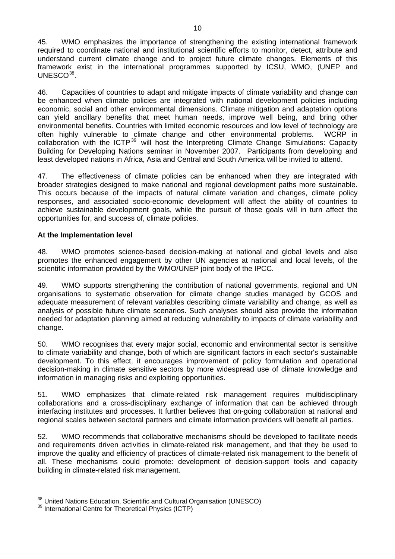45. WMO emphasizes the importance of strengthening the existing international framework required to coordinate national and institutional scientific efforts to monitor, detect, attribute and understand current climate change and to project future climate changes. Elements of this framework exist in the international programmes supported by ICSU, WMO, (UNEP and UNESCO<sup>[38](#page-10-0)</sup>.

46. Capacities of countries to adapt and mitigate impacts of climate variability and change can be enhanced when climate policies are integrated with national development policies including economic, social and other environmental dimensions. Climate mitigation and adaptation options can yield ancillary benefits that meet human needs, improve well being, and bring other environmental benefits. Countries with limited economic resources and low level of technology are often highly vulnerable to climate change and other environmental problems. WCRP in collaboration with the ICTP<sup>[39](#page-10-1)</sup> will host the Interpreting Climate Change Simulations: Capacity Building for Developing Nations seminar in November 2007. Participants from developing and least developed nations in Africa, Asia and Central and South America will be invited to attend.

47. The effectiveness of climate policies can be enhanced when they are integrated with broader strategies designed to make national and regional development paths more sustainable. This occurs because of the impacts of natural climate variation and changes, climate policy responses, and associated socio-economic development will affect the ability of countries to achieve sustainable development goals, while the pursuit of those goals will in turn affect the opportunities for, and success of, climate policies.

#### **At the Implementation level**

48. WMO promotes science-based decision-making at national and global levels and also promotes the enhanced engagement by other UN agencies at national and local levels, of the scientific information provided by the WMO/UNEP joint body of the IPCC.

49. WMO supports strengthening the contribution of national governments, regional and UN organisations to systematic observation for climate change studies managed by GCOS and adequate measurement of relevant variables describing climate variability and change, as well as analysis of possible future climate scenarios. Such analyses should also provide the information needed for adaptation planning aimed at reducing vulnerability to impacts of climate variability and change.

50. WMO recognises that every major social, economic and environmental sector is sensitive to climate variability and change, both of which are significant factors in each sector's sustainable development. To this effect, it encourages improvement of policy formulation and operational decision-making in climate sensitive sectors by more widespread use of climate knowledge and information in managing risks and exploiting opportunities.

51. WMO emphasizes that climate-related risk management requires multidisciplinary collaborations and a cross-disciplinary exchange of information that can be achieved through interfacing institutes and processes. It further believes that on-going collaboration at national and regional scales between sectoral partners and climate information providers will benefit all parties.

52. WMO recommends that collaborative mechanisms should be developed to facilitate needs and requirements driven activities in climate-related risk management, and that they be used to improve the quality and efficiency of practices of climate-related risk management to the benefit of all. These mechanisms could promote: development of decision-support tools and capacity building in climate-related risk management.

 <sup>38</sup> United Nations Education, Scientific and Cultural Organisation (UNESCO)<br><sup>39</sup> International Centre for Theoretical Physics (ICTP)

<span id="page-10-1"></span><span id="page-10-0"></span>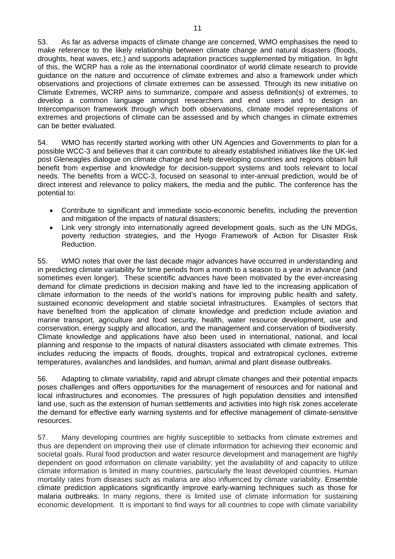53. As far as adverse impacts of climate change are concerned, WMO emphasises the need to make reference to the likely relationship between climate change and natural disasters (floods, droughts, heat waves, etc.) and supports adaptation practices supplemented by mitigation. In light of this, the WCRP has a role as the international coordinator of world climate research to provide guidance on the nature and occurrence of climate extremes and also a framework under which observations and projections of climate extremes can be assessed. Through its new initiative on Climate Extremes, WCRP aims to summarize, compare and assess definition(s) of extremes, to develop a common language amongst researchers and end users and to design an Intercomparison framework through which both observations, climate model representations of extremes and projections of climate can be assessed and by which changes in climate extremes can be better evaluated.

54. WMO has recently started working with other UN Agencies and Governments to plan for a possible WCC-3 and believes that it can contribute to already established initiatives like the UK-led post Gleneagles dialogue on climate change and help developing countries and regions obtain full benefit from expertise and knowledge for decision-support systems and tools relevant to local needs. The benefits from a WCC-3, focused on seasonal to inter-annual prediction, would be of direct interest and relevance to policy makers, the media and the public. The conference has the potential to:

- Contribute to significant and immediate socio-economic benefits, including the prevention and mitigation of the impacts of natural disasters;
- Link very strongly into internationally agreed development goals, such as the UN MDGs, poverty reduction strategies, and the Hyogo Framework of Action for Disaster Risk Reduction.

55. WMO notes that over the last decade major advances have occurred in understanding and in predicting climate variability for time periods from a month to a season to a year in advance (and sometimes even longer). These scientific advances have been motivated by the ever-increasing demand for climate predictions in decision making and have led to the increasing application of climate information to the needs of the world's nations for improving public health and safety, sustained economic development and stable societal infrastructures. Examples of sectors that have benefited from the application of climate knowledge and prediction include aviation and marine transport, agriculture and food security, health, water resource development, use and conservation, energy supply and allocation, and the management and conservation of biodiversity. Climate knowledge and applications have also been used in international, national, and local planning and response to the impacts of natural disasters associated with climate extremes. This includes reducing the impacts of floods, droughts, tropical and extratropical cyclones, extreme temperatures, avalanches and landslides, and human, animal and plant disease outbreaks.

56. Adapting to climate variability, rapid and abrupt climate changes and their potential impacts poses challenges and offers opportunities for the management of resources and for national and local infrastructures and economies. The pressures of high population densities and intensified land use, such as the extension of human settlements and activities into high risk zones accelerate the demand for effective early warning systems and for effective management of climate-sensitive resources.

57. Many developing countries are highly susceptible to setbacks from climate extremes and thus are dependent on improving their use of climate information for achieving their economic and societal goals. Rural food production and water resource development and management are highly dependent on good information on climate variability; yet the availability of and capacity to utilize climate information is limited in many countries, particularly the least developed countries. Human mortality rates from diseases such as malaria are also influenced by climate variability. Ensemble climate prediction applications significantly improve early-warning techniques such as those for malaria outbreaks. In many regions, there is limited use of climate information for sustaining economic development. It is important to find ways for all countries to cope with climate variability